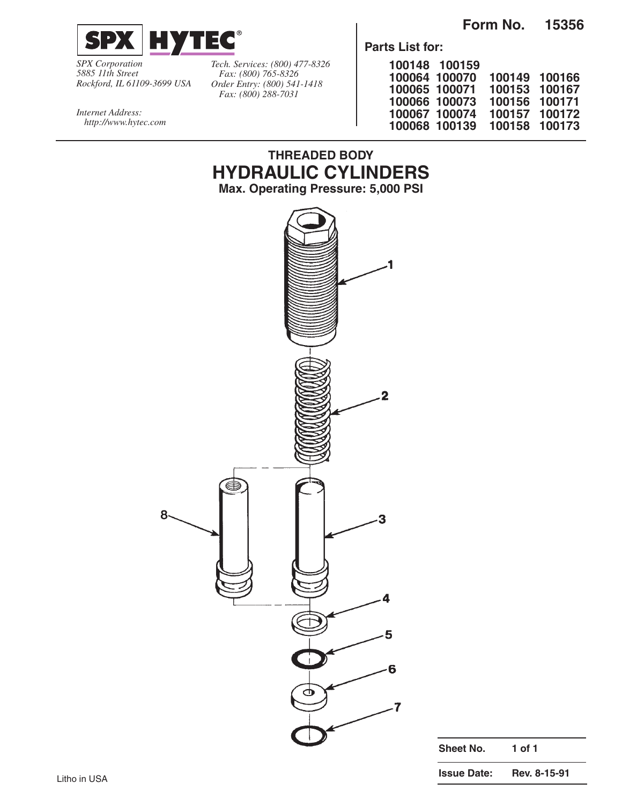**Form No. 15356**



*SPX Corporation 5885 11th Street Rockford, IL 61109-3699 USA* *Tech. Services: (800) 477-8326 Fax: (800) 765-8326 Order Entry: (800) 541-1418 Fax: (800) 288-7031*

**THREADED BODY HYDRAULIC CYLINDERS**

**Parts List for:**

|               | 100148 100159 |        |        |
|---------------|---------------|--------|--------|
|               | 100064 100070 | 100149 | 100166 |
| 100065 100071 |               | 100153 | 100167 |
|               | 100066 100073 | 100156 | 100171 |
|               | 100067 100074 | 100157 | 100172 |
|               | 100068 100139 | 100158 | 100173 |

*Internet Address: http://www.hytec.com*



| Sheet No.          | 1 of 1       |  |  |  |
|--------------------|--------------|--|--|--|
| <b>Issue Date:</b> | Rev. 8-15-91 |  |  |  |